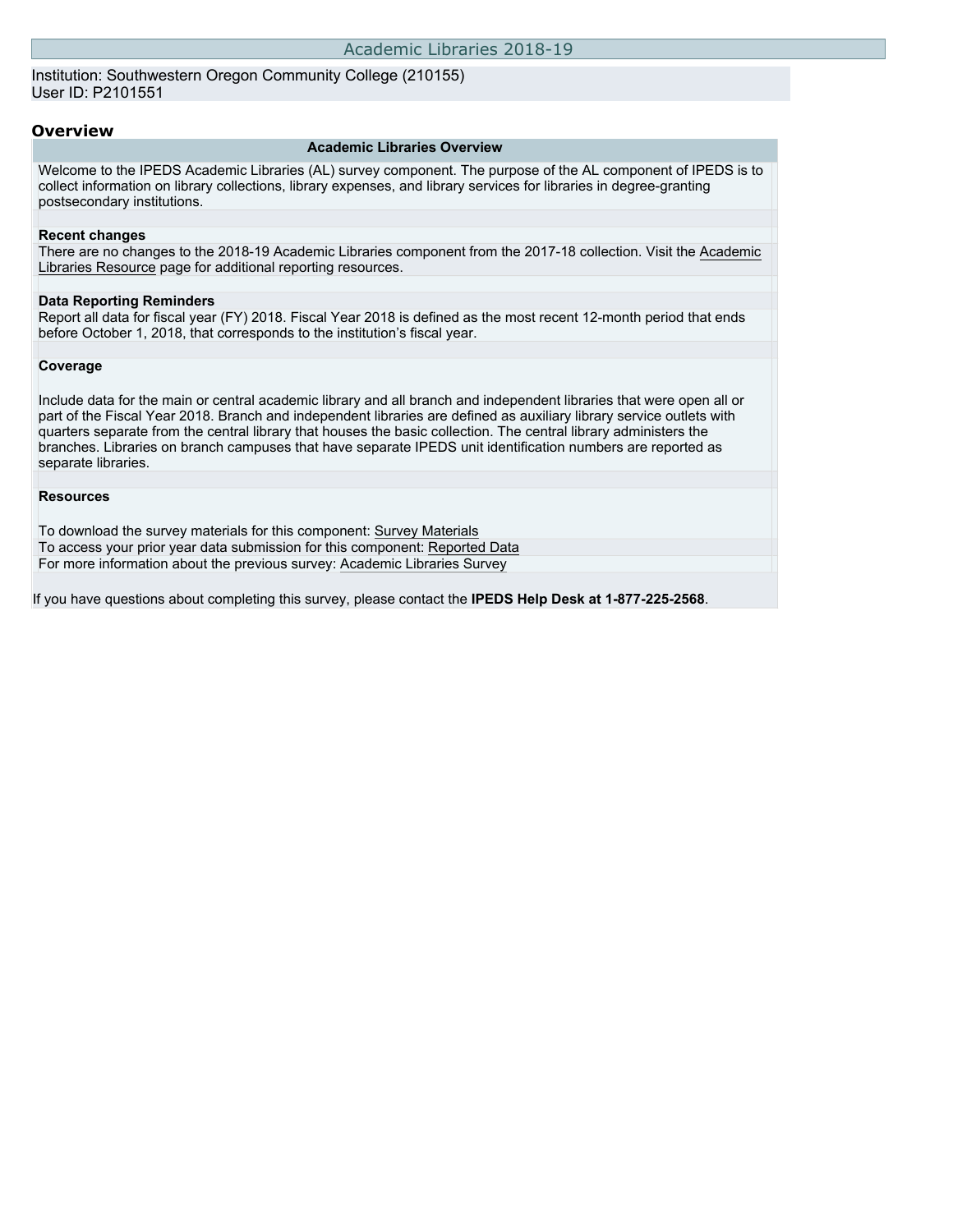Institution: Southwestern Oregon Community College (210155) User ID: P2101551

### **Overview**

### **Academic Libraries Overview**

Welcome to the IPEDS Academic Libraries (AL) survey component. The purpose of the AL component of IPEDS is to collect information on library collections, library expenses, and library services for libraries in degree-granting postsecondary institutions.

### **Recent changes**

There are no changes to the 2018-19 Academic Libraries component from the 2017-18 collection. Visit the [Academic](https://nces.ed.gov/ipeds/report-your-data/resource-center-academic-libraries) [Libraries Resource](https://nces.ed.gov/ipeds/report-your-data/resource-center-academic-libraries) page for additional reporting resources.

#### **Data Reporting Reminders**

Report all data for fiscal year (FY) 2018. Fiscal Year 2018 is defined as the most recent 12-month period that ends before October 1, 2018, that corresponds to the institution's fiscal year.

### **Coverage**

Include data for the main or central academic library and all branch and independent libraries that were open all or part of the Fiscal Year 2018. Branch and independent libraries are defined as auxiliary library service outlets with quarters separate from the central library that houses the basic collection. The central library administers the branches. Libraries on branch campuses that have separate IPEDS unit identification numbers are reported as separate libraries.

#### **Resources**

To download the survey materials for this component: [Survey Materials](https://surveys.nces.ed.gov/ipeds/VisIndex.aspx) To access your prior year data submission for this component: [Reported Data](http://192.168.102.89/ipeds/PriorYearDataRedirect.aspx?survey_id=15) For more information about the previous survey: [Academic Libraries Survey](https://nces.ed.gov/surveys/libraries/academic.asp)

If you have questions about completing this survey, please contact the **IPEDS Help Desk at 1-877-225-2568**.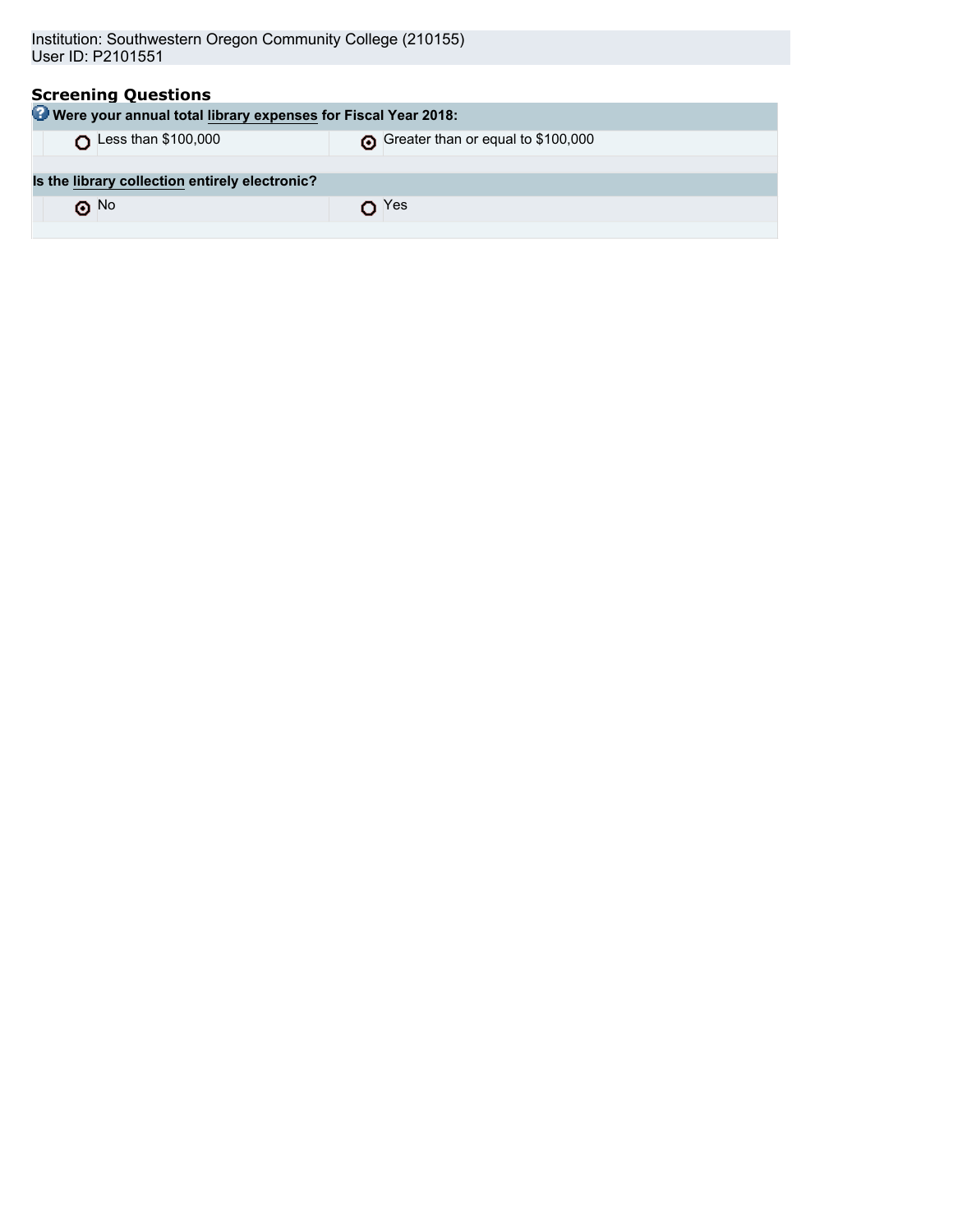| <b>Screening Questions</b><br>Were your annual total library expenses for Fiscal Year 2018: |                                    |  |  |  |  |
|---------------------------------------------------------------------------------------------|------------------------------------|--|--|--|--|
| Less than \$100,000                                                                         | Greater than or equal to \$100,000 |  |  |  |  |
|                                                                                             |                                    |  |  |  |  |
| Is the library collection entirely electronic?                                              |                                    |  |  |  |  |
| $\odot$ No                                                                                  | Yes                                |  |  |  |  |
|                                                                                             |                                    |  |  |  |  |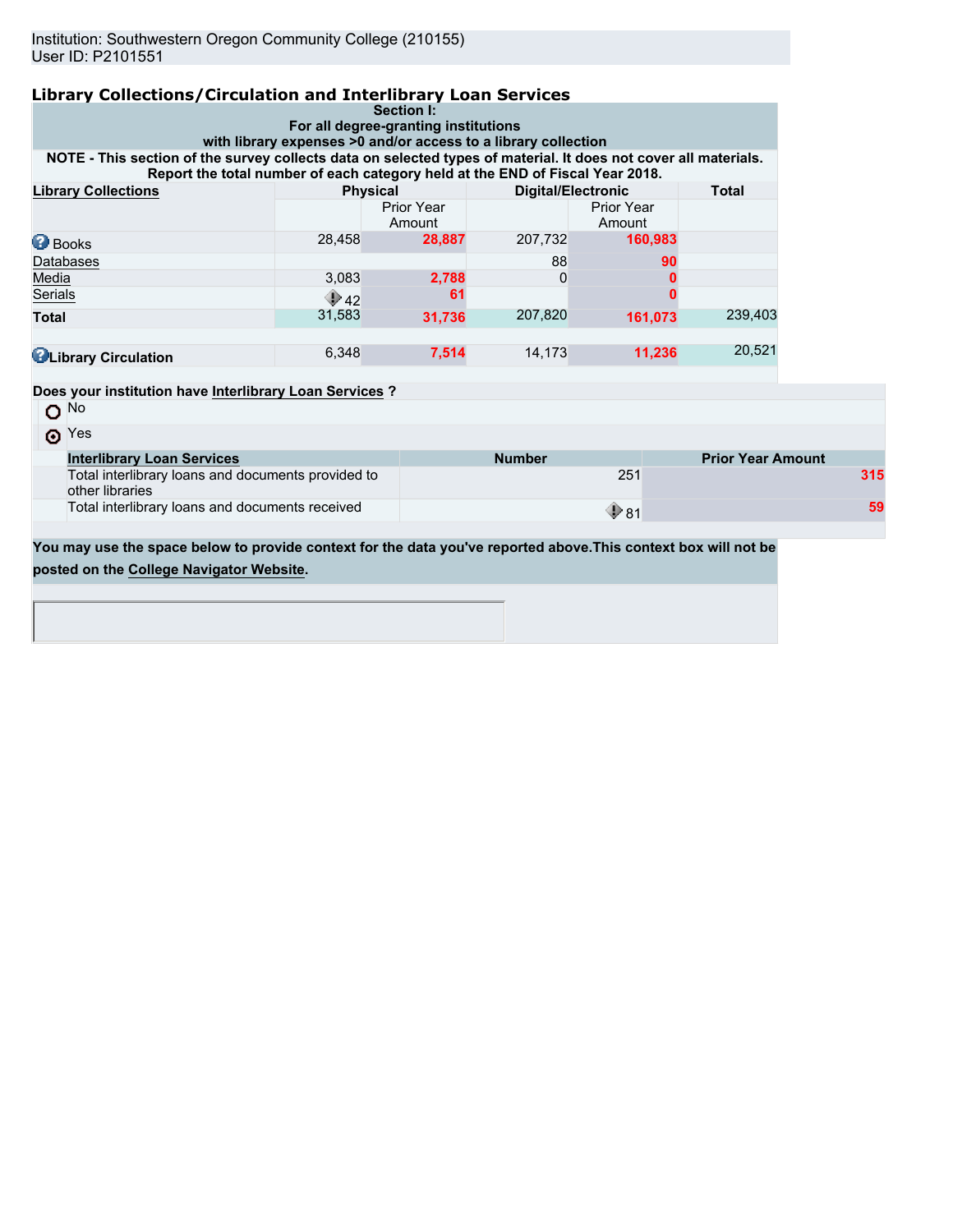| <b>Library Collections/Circulation and Interlibrary Loan Services</b>                                                                                                                            |                 |                                                    |                           |                      |              |                          |  |
|--------------------------------------------------------------------------------------------------------------------------------------------------------------------------------------------------|-----------------|----------------------------------------------------|---------------------------|----------------------|--------------|--------------------------|--|
|                                                                                                                                                                                                  |                 | Section I:<br>For all degree-granting institutions |                           |                      |              |                          |  |
| with library expenses >0 and/or access to a library collection                                                                                                                                   |                 |                                                    |                           |                      |              |                          |  |
| NOTE - This section of the survey collects data on selected types of material. It does not cover all materials.<br>Report the total number of each category held at the END of Fiscal Year 2018. |                 |                                                    |                           |                      |              |                          |  |
| <b>Library Collections</b>                                                                                                                                                                       | <b>Physical</b> |                                                    | <b>Digital/Electronic</b> |                      | <b>Total</b> |                          |  |
|                                                                                                                                                                                                  |                 | Prior Year<br>Amount                               |                           | Prior Year<br>Amount |              |                          |  |
| <b>Books</b>                                                                                                                                                                                     | 28,458          | 28,887                                             | 207,732                   | 160,983              |              |                          |  |
| Databases                                                                                                                                                                                        |                 |                                                    | 88                        | 90                   |              |                          |  |
| Media                                                                                                                                                                                            | 3,083           | 2,788                                              | $\Omega$                  |                      |              |                          |  |
| Serials                                                                                                                                                                                          | $\bigcirc$ 42   | 61                                                 |                           |                      |              |                          |  |
| <b>Total</b>                                                                                                                                                                                     | 31,583          | 31,736                                             | 207,820                   | 161,073              | 239,403      |                          |  |
| <b>C</b> Library Circulation                                                                                                                                                                     | 6,348           | 7,514                                              | 14,173                    | 11,236               | 20,521       |                          |  |
| Does your institution have Interlibrary Loan Services ?                                                                                                                                          |                 |                                                    |                           |                      |              |                          |  |
| $O$ <sup>No</sup>                                                                                                                                                                                |                 |                                                    |                           |                      |              |                          |  |
| $\odot$ Yes                                                                                                                                                                                      |                 |                                                    |                           |                      |              |                          |  |
| <b>Interlibrary Loan Services</b>                                                                                                                                                                |                 |                                                    | <b>Number</b>             |                      |              | <b>Prior Year Amount</b> |  |
| Total interlibrary loans and documents provided to<br>other libraries                                                                                                                            |                 |                                                    |                           | 251                  |              | 315                      |  |
| Total interlibrary loans and documents received                                                                                                                                                  |                 |                                                    |                           | $\mathbf{\Phi}$ 81   |              |                          |  |

**You may use the space below to provide context for the data you've reported above.This context box will not be posted on the [College Navigator Website.](http://nces.ed.gov/collegenavigator/)**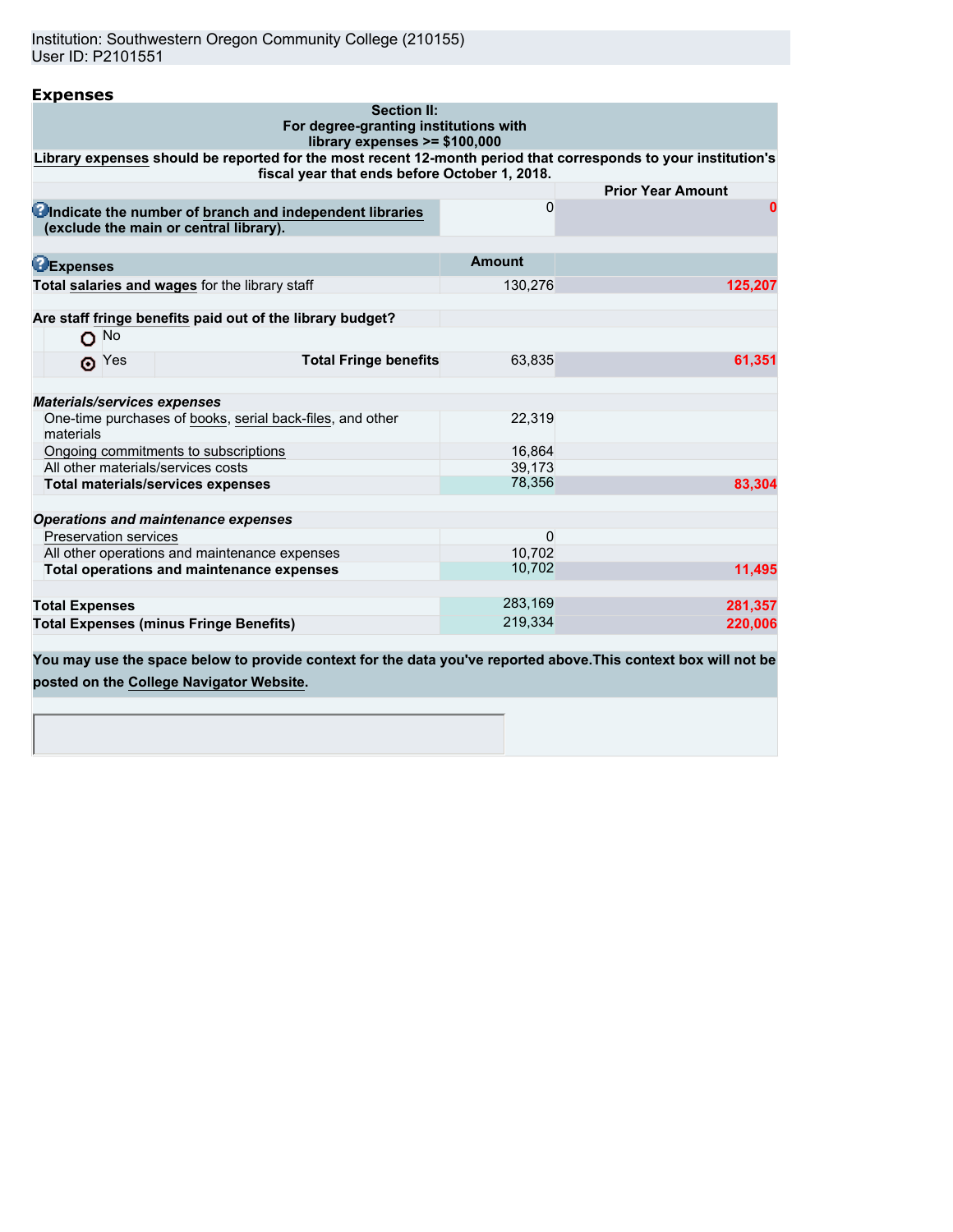Institution: Southwestern Oregon Community College (210155) User ID: P2101551

| For degree-granting institutions with<br>library expenses >= \$100,000 |                                                                                                                |
|------------------------------------------------------------------------|----------------------------------------------------------------------------------------------------------------|
| fiscal year that ends before October 1, 2018.                          | Library expenses should be reported for the most recent 12-month period that corresponds to your institution's |
|                                                                        | <b>Prior Year Amount</b>                                                                                       |
| 0                                                                      | $\bf{0}$                                                                                                       |
| Amount                                                                 |                                                                                                                |
| 130,276                                                                | 125,207                                                                                                        |
|                                                                        |                                                                                                                |
|                                                                        |                                                                                                                |
|                                                                        | 61,351                                                                                                         |
|                                                                        |                                                                                                                |
|                                                                        |                                                                                                                |
| 22,319                                                                 |                                                                                                                |
| 16,864                                                                 |                                                                                                                |
| 39,173                                                                 |                                                                                                                |
|                                                                        | 83.304                                                                                                         |
|                                                                        |                                                                                                                |
| $\Omega$                                                               |                                                                                                                |
| 10.702                                                                 |                                                                                                                |
| 10,702                                                                 | 11,495                                                                                                         |
|                                                                        |                                                                                                                |
|                                                                        | 281,357                                                                                                        |
|                                                                        | 220,006                                                                                                        |
| <b>Total Fringe benefits</b>                                           | 63,835<br>78,356<br>283,169<br>219,334                                                                         |

**You may use the space below to provide context for the data you've reported above.This context box will not be posted on the [College Navigator Website.](http://nces.ed.gov/collegenavigator/)**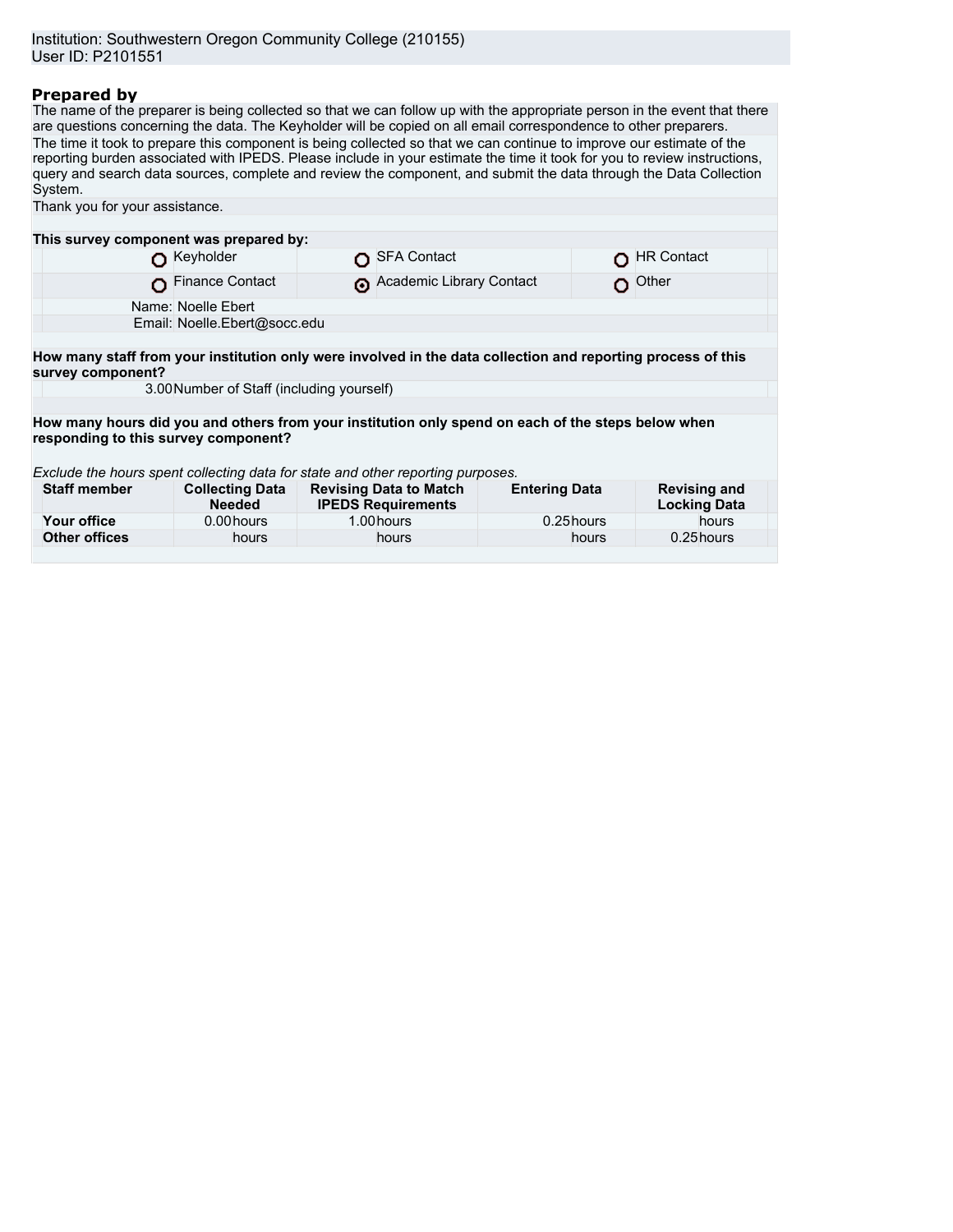# **Prepared by**

The name of the preparer is being collected so that we can follow up with the appropriate person in the event that there are questions concerning the data. The Keyholder will be copied on all email correspondence to other preparers. The time it took to prepare this component is being collected so that we can continue to improve our estimate of the reporting burden associated with IPEDS. Please include in your estimate the time it took for you to review instructions, query and search data sources, complete and review the component, and submit the data through the Data Collection System.

| Thank you for your assistance.                                                                                                    |                                         |  |                                                            |                      |       |                                            |  |  |
|-----------------------------------------------------------------------------------------------------------------------------------|-----------------------------------------|--|------------------------------------------------------------|----------------------|-------|--------------------------------------------|--|--|
|                                                                                                                                   |                                         |  |                                                            |                      |       |                                            |  |  |
| This survey component was prepared by:                                                                                            |                                         |  |                                                            |                      |       |                                            |  |  |
|                                                                                                                                   | Keyholder                               |  | <b>SFA Contact</b>                                         |                      |       | <b>HR Contact</b>                          |  |  |
|                                                                                                                                   | <b>Finance Contact</b>                  |  | Academic Library Contact                                   |                      |       | Other                                      |  |  |
| Name: Noelle Ebert                                                                                                                |                                         |  |                                                            |                      |       |                                            |  |  |
|                                                                                                                                   | Email: Noelle.Ebert@socc.edu            |  |                                                            |                      |       |                                            |  |  |
|                                                                                                                                   |                                         |  |                                                            |                      |       |                                            |  |  |
| How many staff from your institution only were involved in the data collection and reporting process of this<br>survey component? |                                         |  |                                                            |                      |       |                                            |  |  |
| 3.00 Number of Staff (including yourself)                                                                                         |                                         |  |                                                            |                      |       |                                            |  |  |
|                                                                                                                                   |                                         |  |                                                            |                      |       |                                            |  |  |
| How many hours did you and others from your institution only spend on each of the steps below when                                |                                         |  |                                                            |                      |       |                                            |  |  |
| responding to this survey component?                                                                                              |                                         |  |                                                            |                      |       |                                            |  |  |
|                                                                                                                                   |                                         |  |                                                            |                      |       |                                            |  |  |
| Exclude the hours spent collecting data for state and other reporting purposes.                                                   |                                         |  |                                                            |                      |       |                                            |  |  |
| <b>Staff member</b>                                                                                                               | <b>Collecting Data</b><br><b>Needed</b> |  | <b>Revising Data to Match</b><br><b>IPEDS Requirements</b> | <b>Entering Data</b> |       | <b>Revising and</b><br><b>Locking Data</b> |  |  |
| Your office                                                                                                                       | 0.00 hours                              |  | 1.00 hours                                                 | 0.25 hours           |       | hours                                      |  |  |
| <b>Other offices</b>                                                                                                              | hours                                   |  | hours                                                      |                      | hours | 0.25 hours                                 |  |  |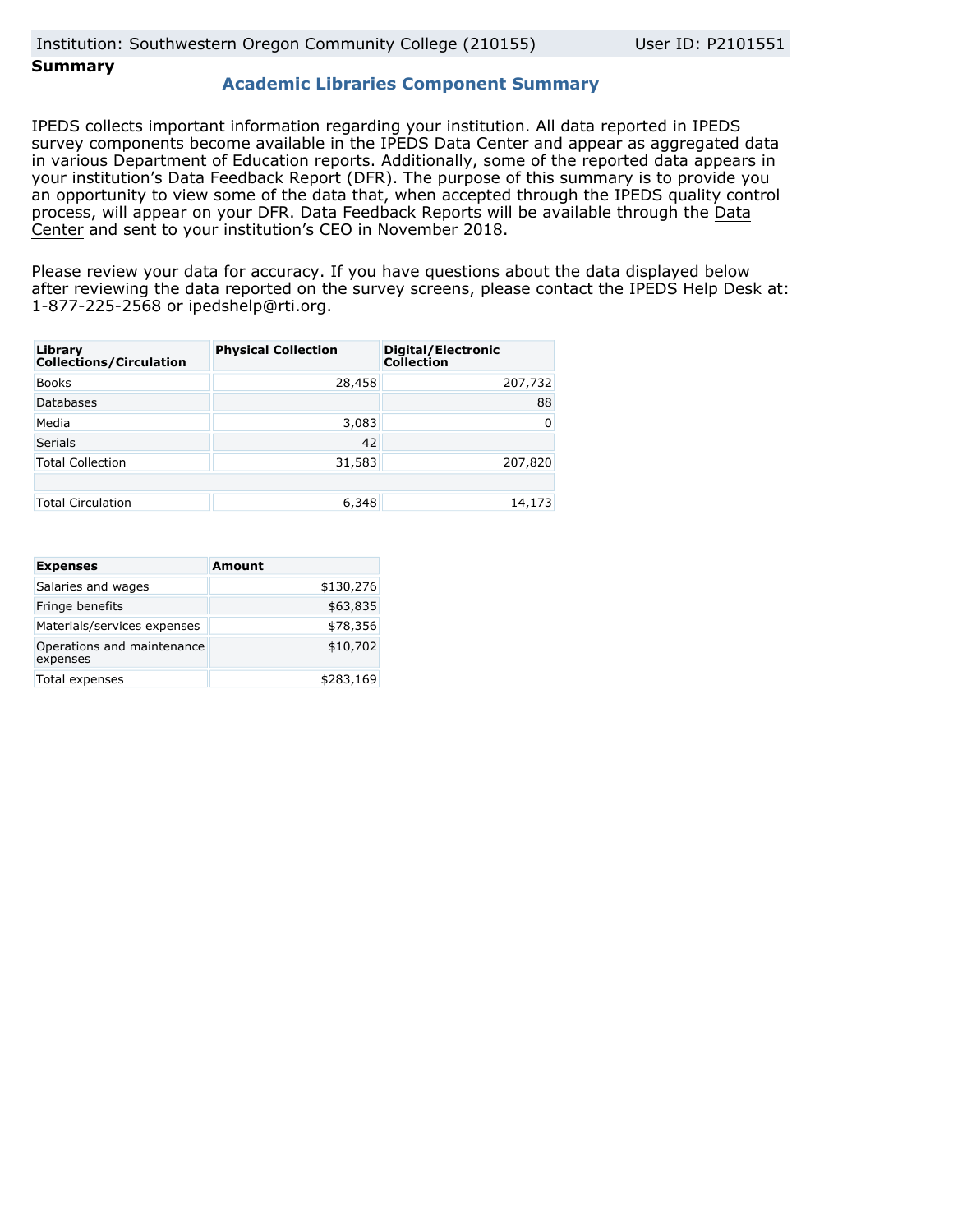# **Summary**

## **Academic Libraries Component Summary**

IPEDS collects important information regarding your institution. All data reported in IPEDS survey components become available in the IPEDS Data Center and appear as aggregated data in various Department of Education reports. Additionally, some of the reported data appears in your institution's Data Feedback Report (DFR). The purpose of this summary is to provide you an opportunity to view some of the data that, when accepted through the IPEDS quality control process, will appear on your DFR. Data Feedback Reports will be available through the [Data](https://nces.ed.gov/ipeds/use-the-data) [Center](https://nces.ed.gov/ipeds/use-the-data) and sent to your institution's CEO in November 2018.

Please review your data for accuracy. If you have questions about the data displayed below after reviewing the data reported on the survey screens, please contact the IPEDS Help Desk at: 1-877-225-2568 or ipedshelp@rti.org.

| Library<br><b>Collections/Circulation</b> | <b>Physical Collection</b> | Digital/Electronic<br><b>Collection</b> |
|-------------------------------------------|----------------------------|-----------------------------------------|
| <b>Books</b>                              | 28,458                     | 207,732                                 |
| <b>Databases</b>                          |                            | 88                                      |
| Media                                     | 3,083                      | 0                                       |
| <b>Serials</b>                            | 42                         |                                         |
| <b>Total Collection</b>                   | 31,583                     | 207,820                                 |
|                                           |                            |                                         |
| <b>Total Circulation</b>                  | 6,348                      | 14,173                                  |

| <b>Expenses</b>                        | <b>Amount</b> |
|----------------------------------------|---------------|
| Salaries and wages                     | \$130,276     |
| Fringe benefits                        | \$63,835      |
| Materials/services expenses            | \$78,356      |
| Operations and maintenance<br>expenses | \$10,702      |
| Total expenses                         | \$283,169     |